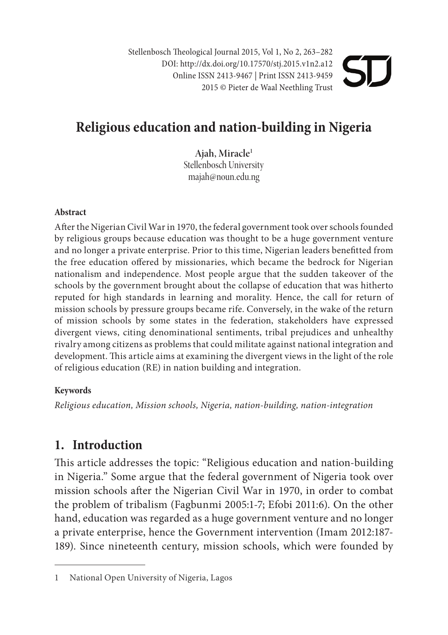Stellenbosch Theological Journal 2015, Vol 1, No 2, 263-282 DOI: http://dx.doi.org/10.17570/stj.2015.v1n2.a12 Online ISSN 2413-9467 | Print ISSN 2413-9459 2015 © Pieter de Waal Neethling Trust

# **Religious education and nation-b uilding in Nigeria**

**Ajah, Miracle1** Stellenbosch University majah@noun.edu.ng

#### **Abstract**

After the Nigerian Civil War in 1970, the federal government took over schools founded by religious groups because education was thought to be a huge government venture and no longer a private enterprise. Prior to this time, Nigerian leaders benefitted from the free education offered by missionaries, which became the bedrock for Nigerian nationalism and independence. Most people argue that the sudden takeover of the schools by the government brought about the collapse of education that was hitherto reputed for high standards in learning and morality. Hence, the call for return of mission schools by pressure groups became rife. Conversely, in the wake of the return of mission schools by some states in the federation, stakeholders have expressed divergent views, citing denominational sentiments, tribal prejudices and unhealthy rivalry among citizens as problems that could militate against national integration and development. This article aims at examining the divergent views in the light of the role of religious education (RE) in nation building and integration.

#### **Keywords**

*Religious education, Mission schools, Nigeria, nation-building, nation-integration*

# **1. Introduction**

This article addresses the topic: "Religious education and nation-building in Nigeria." Some argue that the federal government of Nigeria took over mission schools after the Nigerian Civil War in 1970, in order to combat the problem of tribalism (Fagbunmi 2005:1-7; Efobi 2011:6). On the other hand, education was regarded as a huge government venture and no longer a private enterprise, hence the Government intervention (Imam 2012:187- 189). Since nineteenth century, mission schools, which were founded by

<sup>1</sup> National Open University of Nigeria, Lagos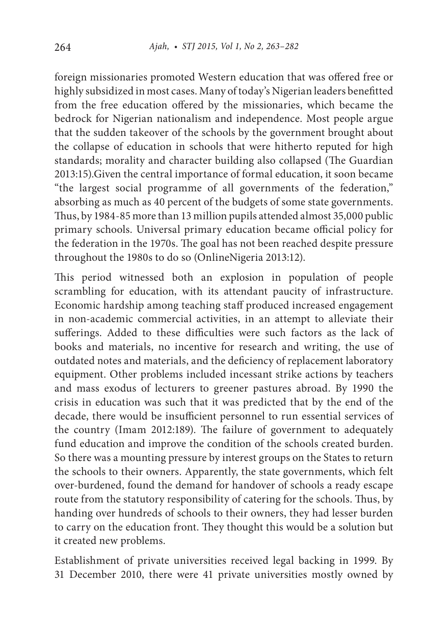foreign missionaries promoted Western education that was offered free or highly subsidized in most cases. Many of today's Nigerian leaders benefitted from the free education offered by the missionaries, which became the bedrock for Nigerian nationalism and independence. Most people argue that the sudden takeover of the schools by the government brought about the collapse of education in schools that were hitherto reputed for high standards; morality and character building also collapsed (The Guardian 2013:15).Given the central importance of formal education, it soon became "the largest social programme of all governments of the federation," absorbing as much as 40 percent of the budgets of some state governments. Thus, by 1984-85 more than 13 million pupils attended almost 35,000 public primary schools. Universal primary education became official policy for the federation in the 1970s. The goal has not been reached despite pressure throughout the 1980s to do so (OnlineNigeria 2013:12).

This period witnessed both an explosion in population of people scrambling for education, with its attendant paucity of infrastructure. Economic hardship among teaching staff produced increased engagement in non-academic commercial activities, in an attempt to alleviate their sufferings. Added to these difficulties were such factors as the lack of books and materials, no incentive for research and writing, the use of outdated notes and materials, and the deficiency of replacement laboratory equipment. Other problems included incessant strike actions by teachers and mass exodus of lecturers to greener pastures abroad. By 1990 the crisis in education was such that it was predicted that by the end of the decade, there would be insufficient personnel to run essential services of the country (Imam 2012:189). The failure of government to adequately fund education and improve the condition of the schools created burden. So there was a mounting pressure by interest groups on the States to return the schools to their owners. Apparently, the state governments, which felt over-burdened, found the demand for handover of schools a ready escape route from the statutory responsibility of catering for the schools. Thus, by handing over hundreds of schools to their owners, they had lesser burden to carry on the education front. They thought this would be a solution but it created new problems.

Establishment of private universities received legal backing in 1999. By 31 December 2010, there were 41 private universities mostly owned by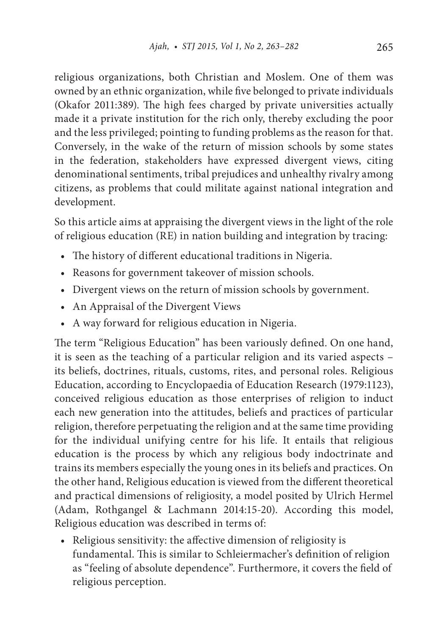religious organizations, both Christian and Moslem. One of them was owned by an ethnic organization, while five belonged to private individuals (Okafor 2011:389). The high fees charged by private universities actually made it a private institution for the rich only, thereby excluding the poor and the less privileged; pointing to funding problems as the reason for that. Conversely, in the wake of the return of mission schools by some states in the federation, stakeholders have expressed divergent views, citing denominational sentiments, tribal prejudices and unhealthy rivalry among citizens, as problems that could militate against national integration and development.

So this article aims at appraising the divergent views in the light of the role of religious education (RE) in nation building and integration by tracing:

- The history of different educational traditions in Nigeria.
- Reasons for government takeover of mission schools.
- Divergent views on the return of mission schools by government.
- An Appraisal of the Divergent Views
- A way forward for religious education in Nigeria.

The term "Religious Education" has been variously defined. On one hand, it is seen as the teaching of a particular religion and its varied aspects – its beliefs, doctrines, rituals, customs, rites, and personal roles. Religious Education, according to Encyclopaedia of Education Research (1979:1123), conceived religious education as those enterprises of religion to induct each new generation into the attitudes, beliefs and practices of particular religion, therefore perpetuating the religion and at the same time providing for the individual unifying centre for his life. It entails that religious education is the process by which any religious body indoctrinate and trains its members especially the young ones in its beliefs and practices. On the other hand, Religious education is viewed from the different theoretical and practical dimensions of religiosity, a model posited by Ulrich Hermel (Adam, Rothgangel & Lachmann 2014:15-20). According this model, Religious education was described in terms of:

• Religious sensitivity: the affective dimension of religiosity is fundamental. This is similar to Schleiermacher's definition of religion as "feeling of absolute dependence". Furthermore, it covers the field of religious perception.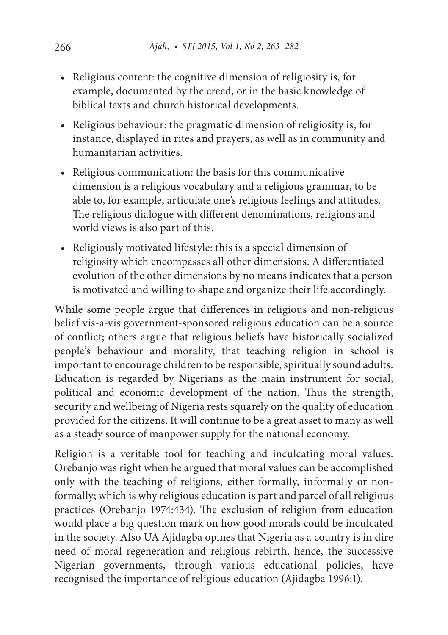- Religious content: the cognitive dimension of religiosity is, for example, documented by the creed, or in the basic knowledge of biblical texts and church historical developments.
- Religious behaviour: the pragmatic dimension of religiosity is, for instance, displayed in rites and prayers, as well as in community and humanitarian activities.
- Religious communication: the basis for this communicative dimension is a religious vocabulary and a religious grammar, to be able to, for example, articulate one's religious feelings and attitudes. The religious dialogue with different denominations, religions and world views is also part of this.
- Religiously motivated lifestyle: this is a special dimension of religiosity which encompasses all other dimensions. A differentiated evolution of the other dimensions by no means indicates that a person is motivated and willing to shape and organize their life accordingly.

While some people argue that differences in religious and non-religious belief vis-a-vis government-sponsored religious education can be a source of conflict; others argue that religious beliefs have historically socialized people's behaviour and morality, that teaching religion in school is important to encourage children to be responsible, spiritually sound adults. Education is regarded by Nigerians as the main instrument for social, political and economic development of the nation. Thus the strength, security and wellbeing of Nigeria rests squarely on the quality of education provided for the citizens. It will continue to be a great asset to many as well as a steady source of manpower supply for the national economy.

Religion is a veritable tool for teaching and inculcating moral values. Orebanjo was right when he argued that moral values can be accomplished only with the teaching of religions, either formally, informally or nonformally; which is why religious education is part and parcel of all religious practices (Orebanjo 1974:434). The exclusion of religion from education would place a big question mark on how good morals could be inculcated in the society. Also UA Ajidagba opines that Nigeria as a country is in dire need of moral regeneration and religious rebirth, hence, the successive Nigerian governments, through various educational policies, have recognised the importance of religious education (Ajidagba 1996:1).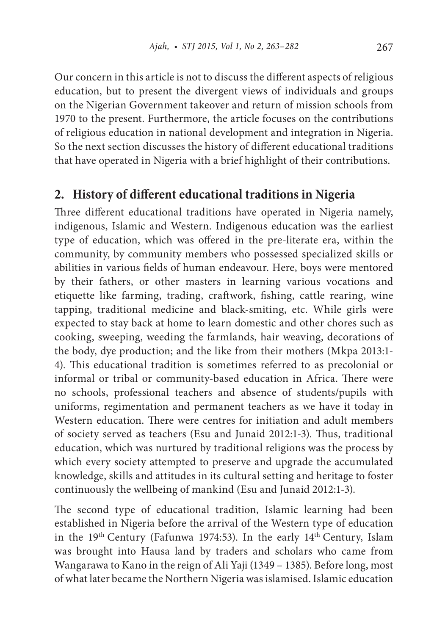Our concern in this article is not to discuss the different aspects of religious education, but to present the divergent views of individuals and groups on the Nigerian Government takeover and return of mission schools from 1970 to the present. Furthermore, the article focuses on the contributions of religious education in national development and integration in Nigeria. So the next section discusses the history of different educational traditions that have operated in Nigeria with a brief highlight of their contributions.

## **2. History of different educational traditions in Nigeria**

Three different educational traditions have operated in Nigeria namely, indigenous, Islamic and Western. Indigenous education was the earliest type of education, which was offered in the pre-literate era, within the community, by community members who possessed specialized skills or abilities in various fields of human endeavour. Here, boys were mentored by their fathers, or other masters in learning various vocations and etiquette like farming, trading, craftwork, fishing, cattle rearing, wine tapping, traditional medicine and black-smiting, etc. While girls were expected to stay back at home to learn domestic and other chores such as cooking, sweeping, weeding the farmlands, hair weaving, decorations of the body, dye production; and the like from their mothers (Mkpa 2013:1- 4). This educational tradition is sometimes referred to as precolonial or informal or tribal or community-based education in Africa. There were no schools, professional teachers and absence of students/pupils with uniforms, regimentation and permanent teachers as we have it today in Western education. There were centres for initiation and adult members of society served as teachers (Esu and Junaid 2012:1-3). Thus, traditional education, which was nurtured by traditional religions was the process by which every society attempted to preserve and upgrade the accumulated knowledge, skills and attitudes in its cultural setting and heritage to foster continuously the wellbeing of mankind (Esu and Junaid 2012:1-3).

The second type of educational tradition, Islamic learning had been established in Nigeria before the arrival of the Western type of education in the 19th Century (Fafunwa 1974:53). In the early 14th Century, Islam was brought into Hausa land by traders and scholars who came from Wangarawa to Kano in the reign of Ali Yaji (1349 – 1385). Before long, most of what later became the Northern Nigeria was islamised. Islamic education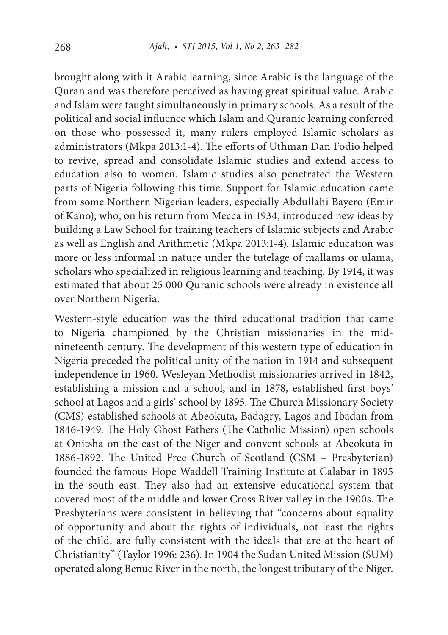brought along with it Arabic learning, since Arabic is the language of the Quran and was therefore perceived as having great spiritual value. Arabic and Islam were taught simultaneously in primary schools. As a result of the political and social influence which Islam and Quranic learning conferred on those who possessed it, many rulers employed Islamic scholars as administrators (Mkpa 2013:1-4). The efforts of Uthman Dan Fodio helped to revive, spread and consolidate Islamic studies and extend access to education also to women. Islamic studies also penetrated the Western parts of Nigeria following this time. Support for Islamic education came from some Northern Nigerian leaders, especially Abdullahi Bayero (Emir of Kano), who, on his return from Mecca in 1934, introduced new ideas by building a Law School for training teachers of Islamic subjects and Arabic as well as English and Arithmetic (Mkpa 2013:1-4). Islamic education was more or less informal in nature under the tutelage of mallams or ulama, scholars who specialized in religious learning and teaching. By 1914, it was estimated that about 25 000 Quranic schools were already in existence all over Northern Nigeria.

Western-style education was the third educational tradition that came to Nigeria championed by the Christian missionaries in the midnineteenth century. The development of this western type of education in Nigeria preceded the political unity of the nation in 1914 and subsequent independence in 1960. Wesleyan Methodist missionaries arrived in 1842, establishing a mission and a school, and in 1878, established first boys' school at Lagos and a girls' school by 1895. The Church Missionary Society (CMS) established schools at Abeokuta, Badagry, Lagos and Ibadan from 1846-1949. The Holy Ghost Fathers (The Catholic Mission) open schools at Onitsha on the east of the Niger and convent schools at Abeokuta in 1886-1892. The United Free Church of Scotland (CSM – Presbyterian) founded the famous Hope Waddell Training Institute at Calabar in 1895 in the south east. They also had an extensive educational system that covered most of the middle and lower Cross River valley in the 1900s. The Presbyterians were consistent in believing that "concerns about equality of opportunity and about the rights of individuals, not least the rights of the child, are fully consistent with the ideals that are at the heart of Christianity" (Taylor 1996: 236). In 1904 the Sudan United Mission (SUM) operated along Benue River in the north, the longest tributary of the Niger.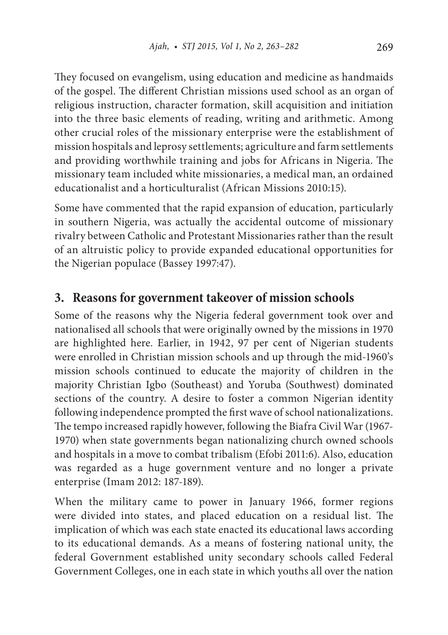They focused on evangelism, using education and medicine as handmaids of the gospel. The different Christian missions used school as an organ of religious instruction, character formation, skill acquisition and initiation into the three basic elements of reading, writing and arithmetic. Among other crucial roles of the missionary enterprise were the establishment of mission hospitals and leprosy settlements; agriculture and farm settlements and providing worthwhile training and jobs for Africans in Nigeria. The missionary team included white missionaries, a medical man, an ordained educationalist and a horticulturalist (African Missions 2010:15).

Some have commented that the rapid expansion of education, particularly in southern Nigeria, was actually the accidental outcome of missionary rivalry between Catholic and Protestant Missionaries rather than the result of an altruistic policy to provide expanded educational opportunities for the Nigerian populace (Bassey 1997:47).

### **3. Reasons for government takeover of mission schools**

Some of the reasons why the Nigeria federal government took over and nationalised all schools that were originally owned by the missions in 1970 are highlighted here. Earlier, in 1942, 97 per cent of Nigerian students were enrolled in Christian mission schools and up through the mid-1960's mission schools continued to educate the majority of children in the majority Christian Igbo (Southeast) and Yoruba (Southwest) dominated sections of the country. A desire to foster a common Nigerian identity following independence prompted the first wave of school nationalizations. The tempo increased rapidly however, following the Biafra Civil War (1967- 1970) when state governments began nationalizing church owned schools and hospitals in a move to combat tribalism (Efobi 2011:6). Also, education was regarded as a huge government venture and no longer a private enterprise (Imam 2012: 187-189).

When the military came to power in January 1966, former regions were divided into states, and placed education on a residual list. The implication of which was each state enacted its educational laws according to its educational demands. As a means of fostering national unity, the federal Government established unity secondary schools called Federal Government Colleges, one in each state in which youths all over the nation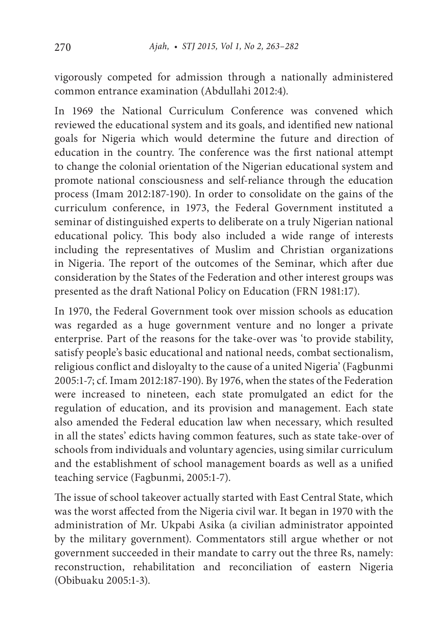vigorously competed for admission through a nationally administered common entrance examination (Abdullahi 2012:4).

In 1969 the National Curriculum Conference was convened which reviewed the educational system and its goals, and identified new national goals for Nigeria which would determine the future and direction of education in the country. The conference was the first national attempt to change the colonial orientation of the Nigerian educational system and promote national consciousness and self-reliance through the education process (Imam 2012:187-190). In order to consolidate on the gains of the curriculum conference, in 1973, the Federal Government instituted a seminar of distinguished experts to deliberate on a truly Nigerian national educational policy. This body also included a wide range of interests including the representatives of Muslim and Christian organizations in Nigeria. The report of the outcomes of the Seminar, which after due consideration by the States of the Federation and other interest groups was presented as the draft National Policy on Education (FRN 1981:17).

In 1970, the Federal Government took over mission schools as education was regarded as a huge government venture and no longer a private enterprise. Part of the reasons for the take-over was 'to provide stability, satisfy people's basic educational and national needs, combat sectionalism, religious conflict and disloyalty to the cause of a united Nigeria' (Fagbunmi 2005:1-7; cf. Imam 2012:187-190). By 1976, when the states of the Federation were increased to nineteen, each state promulgated an edict for the regulation of education, and its provision and management. Each state also amended the Federal education law when necessary, which resulted in all the states' edicts having common features, such as state take-over of schools from individuals and voluntary agencies, using similar curriculum and the establishment of school management boards as well as a unified teaching service (Fagbunmi, 2005:1-7).

The issue of school takeover actually started with East Central State, which was the worst affected from the Nigeria civil war. It began in 1970 with the administration of Mr. Ukpabi Asika (a civilian administrator appointed by the military government). Commentators still argue whether or not government succeeded in their mandate to carry out the three Rs, namely: reconstruction, rehabilitation and reconciliation of eastern Nigeria (Obibuaku 2005:1-3).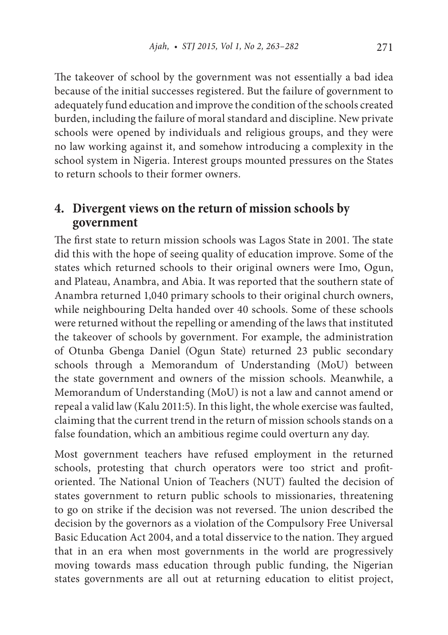The takeover of school by the government was not essentially a bad idea because of the initial successes registered. But the failure of government to adequately fund education and improve the condition of the schools created burden, including the failure of moral standard and discipline. New private schools were opened by individuals and religious groups, and they were no law working against it, and somehow introducing a complexity in the school system in Nigeria. Interest groups mounted pressures on the States to return schools to their former owners.

### **4. Divergent views on the return of mission schools by government**

The first state to return mission schools was Lagos State in 2001. The state did this with the hope of seeing quality of education improve. Some of the states which returned schools to their original owners were Imo, Ogun, and Plateau, Anambra, and Abia. It was reported that the southern state of Anambra returned 1,040 primary schools to their original church owners, while neighbouring Delta handed over 40 schools. Some of these schools were returned without the repelling or amending of the laws that instituted the takeover of schools by government. For example, the administration of Otunba Gbenga Daniel (Ogun State) returned 23 public secondary schools through a Memorandum of Understanding (MoU) between the state government and owners of the mission schools. Meanwhile, a Memorandum of Understanding (MoU) is not a law and cannot amend or repeal a valid law (Kalu 2011:5). In this light, the whole exercise was faulted, claiming that the current trend in the return of mission schools stands on a false foundation, which an ambitious regime could overturn any day.

Most government teachers have refused employment in the returned schools, protesting that church operators were too strict and profitoriented. The National Union of Teachers (NUT) faulted the decision of states government to return public schools to missionaries, threatening to go on strike if the decision was not reversed. The union described the decision by the governors as a violation of the Compulsory Free Universal Basic Education Act 2004, and a total disservice to the nation. They argued that in an era when most governments in the world are progressively moving towards mass education through public funding, the Nigerian states governments are all out at returning education to elitist project,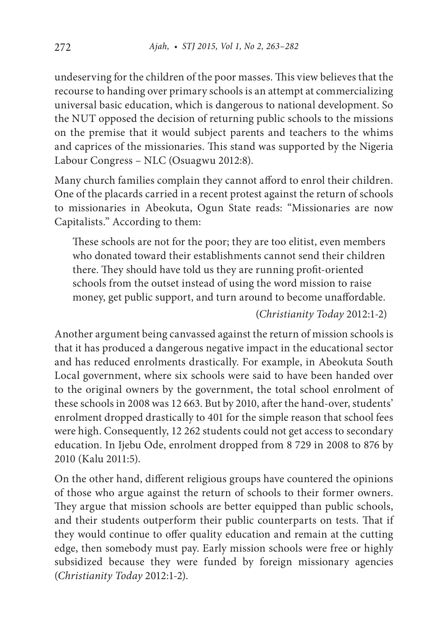undeserving for the children of the poor masses. This view believes that the recourse to handing over primary schools is an attempt at commercializing universal basic education, which is dangerous to national development. So the NUT opposed the decision of returning public schools to the missions on the premise that it would subject parents and teachers to the whims and caprices of the missionaries. This stand was supported by the Nigeria Labour Congress – NLC (Osuagwu 2012:8).

Many church families complain they cannot afford to enrol their children. One of the placards carried in a recent protest against the return of schools to missionaries in Abeokuta, Ogun State reads: "Missionaries are now Capitalists." According to them:

These schools are not for the poor; they are too elitist, even members who donated toward their establishments cannot send their children there. They should have told us they are running profit-oriented schools from the outset instead of using the word mission to raise money, get public support, and turn around to become unaffordable.

#### (*Christianity Today* 2012:1-2)

Another argument being canvassed against the return of mission schools is that it has produced a dangerous negative impact in the educational sector and has reduced enrolments drastically. For example, in Abeokuta South Local government, where six schools were said to have been handed over to the original owners by the government, the total school enrolment of these schools in 2008 was 12 663. But by 2010, after the hand-over, students' enrolment dropped drastically to 401 for the simple reason that school fees were high. Consequently, 12 262 students could not get access to secondary education. In Ijebu Ode, enrolment dropped from 8 729 in 2008 to 876 by 2010 (Kalu 2011:5).

On the other hand, different religious groups have countered the opinions of those who argue against the return of schools to their former owners. They argue that mission schools are better equipped than public schools, and their students outperform their public counterparts on tests. That if they would continue to offer quality education and remain at the cutting edge, then somebody must pay. Early mission schools were free or highly subsidized because they were funded by foreign missionary agencies (*Christianity Today* 2012:1-2).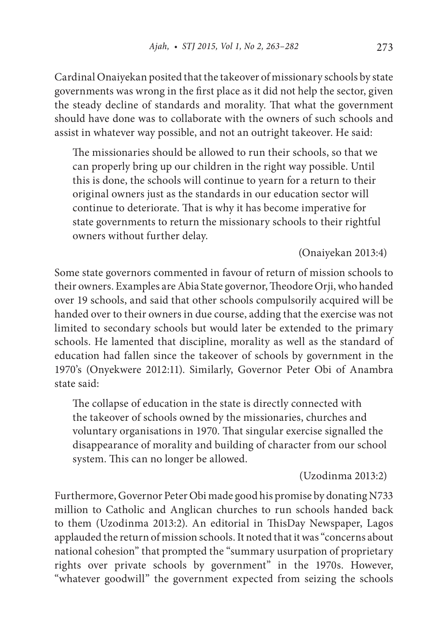Cardinal Onaiyekan posited that the takeover of missionary schools by state governments was wrong in the first place as it did not help the sector, given the steady decline of standards and morality. That what the government should have done was to collaborate with the owners of such schools and assist in whatever way possible, and not an outright takeover. He said:

The missionaries should be allowed to run their schools, so that we can properly bring up our children in the right way possible. Until this is done, the schools will continue to yearn for a return to their original owners just as the standards in our education sector will continue to deteriorate. That is why it has become imperative for state governments to return the missionary schools to their rightful owners without further delay.

(Onaiyekan 2013:4)

Some state governors commented in favour of return of mission schools to their owners. Examples are Abia State governor, Theodore Orji, who handed over 19 schools, and said that other schools compulsorily acquired will be handed over to their owners in due course, adding that the exercise was not limited to secondary schools but would later be extended to the primary schools. He lamented that discipline, morality as well as the standard of education had fallen since the takeover of schools by government in the 1970's (Onyekwere 2012:11). Similarly, Governor Peter Obi of Anambra state said:

The collapse of education in the state is directly connected with the takeover of schools owned by the missionaries, churches and voluntary organisations in 1970. That singular exercise signalled the disappearance of morality and building of character from our school system. This can no longer be allowed.

(Uzodinma 2013:2)

Furthermore, Governor Peter Obi made good his promise by donating N733 million to Catholic and Anglican churches to run schools handed back to them (Uzodinma 2013:2). An editorial in ThisDay Newspaper, Lagos applauded the return of mission schools. It noted that it was "concerns about national cohesion" that prompted the "summary usurpation of proprietary rights over private schools by government" in the 1970s. However, "whatever goodwill" the government expected from seizing the schools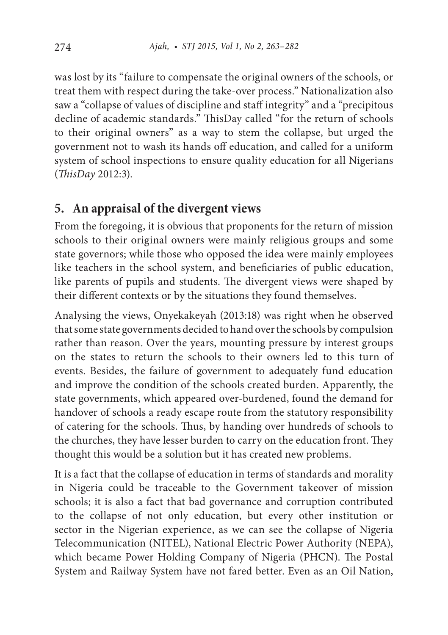was lost by its "failure to compensate the original owners of the schools, or treat them with respect during the take-over process." Nationalization also saw a "collapse of values of discipline and staff integrity" and a "precipitous decline of academic standards." ThisDay called "for the return of schools to their original owners" as a way to stem the collapse, but urged the government not to wash its hands off education, and called for a uniform system of school inspections to ensure quality education for all Nigerians (*ThisDay* 2012:3).

### **5. An appraisal of the divergent views**

From the foregoing, it is obvious that proponents for the return of mission schools to their original owners were mainly religious groups and some state governors; while those who opposed the idea were mainly employees like teachers in the school system, and beneficiaries of public education, like parents of pupils and students. The divergent views were shaped by their different contexts or by the situations they found themselves.

Analysing the views, Onyekakeyah (2013:18) was right when he observed that some state governments decided to hand over the schools by compulsion rather than reason. Over the years, mounting pressure by interest groups on the states to return the schools to their owners led to this turn of events. Besides, the failure of government to adequately fund education and improve the condition of the schools created burden. Apparently, the state governments, which appeared over-burdened, found the demand for handover of schools a ready escape route from the statutory responsibility of catering for the schools. Thus, by handing over hundreds of schools to the churches, they have lesser burden to carry on the education front. They thought this would be a solution but it has created new problems.

It is a fact that the collapse of education in terms of standards and morality in Nigeria could be traceable to the Government takeover of mission schools; it is also a fact that bad governance and corruption contributed to the collapse of not only education, but every other institution or sector in the Nigerian experience, as we can see the collapse of Nigeria Telecommunication (NITEL), National Electric Power Authority (NEPA), which became Power Holding Company of Nigeria (PHCN). The Postal System and Railway System have not fared better. Even as an Oil Nation,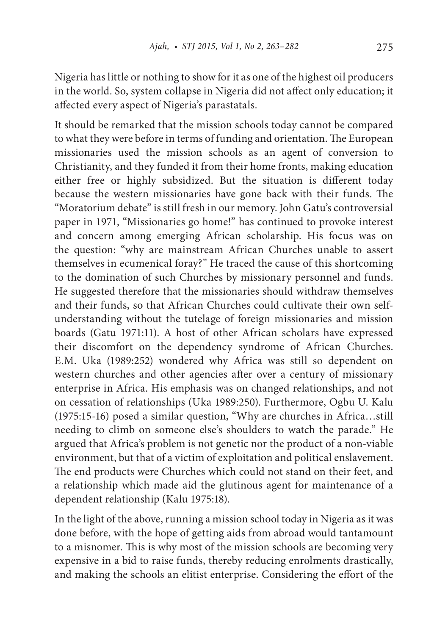Nigeria has little or nothing to show for it as one of the highest oil producers in the world. So, system collapse in Nigeria did not affect only education; it affected every aspect of Nigeria's parastatals.

It should be remarked that the mission schools today cannot be compared to what they were before in terms of funding and orientation. The European missionaries used the mission schools as an agent of conversion to Christianity, and they funded it from their home fronts, making education either free or highly subsidized. But the situation is different today because the western missionaries have gone back with their funds. The "Moratorium debate" is still fresh in our memory. John Gatu's controversial paper in 1971, "Missionaries go home!" has continued to provoke interest and concern among emerging African scholarship. His focus was on the question: "why are mainstream African Churches unable to assert themselves in ecumenical foray?" He traced the cause of this shortcoming to the domination of such Churches by missionary personnel and funds. He suggested therefore that the missionaries should withdraw themselves and their funds, so that African Churches could cultivate their own selfunderstanding without the tutelage of foreign missionaries and mission boards (Gatu 1971:11). A host of other African scholars have expressed their discomfort on the dependency syndrome of African Churches. E.M. Uka (1989:252) wondered why Africa was still so dependent on western churches and other agencies after over a century of missionary enterprise in Africa. His emphasis was on changed relationships, and not on cessation of relationships (Uka 1989:250). Furthermore, Ogbu U. Kalu (1975:15-16) posed a similar question, "Why are churches in Africa…still needing to climb on someone else's shoulders to watch the parade." He argued that Africa's problem is not genetic nor the product of a non-viable environment, but that of a victim of exploitation and political enslavement. The end products were Churches which could not stand on their feet, and a relationship which made aid the glutinous agent for maintenance of a dependent relationship (Kalu 1975:18).

In the light of the above, running a mission school today in Nigeria as it was done before, with the hope of getting aids from abroad would tantamount to a misnomer. This is why most of the mission schools are becoming very expensive in a bid to raise funds, thereby reducing enrolments drastically, and making the schools an elitist enterprise. Considering the effort of the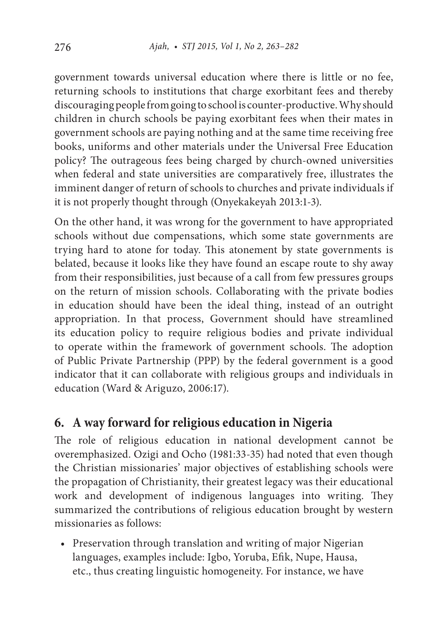government towards universal education where there is little or no fee, returning schools to institutions that charge exorbitant fees and thereby discouraging people from going to school is counter-productive. Why should children in church schools be paying exorbitant fees when their mates in government schools are paying nothing and at the same time receiving free books, uniforms and other materials under the Universal Free Education policy? The outrageous fees being charged by church-owned universities when federal and state universities are comparatively free, illustrates the imminent danger of return of schools to churches and private individuals if it is not properly thought through (Onyekakeyah 2013:1-3).

On the other hand, it was wrong for the government to have appropriated schools without due compensations, which some state governments are trying hard to atone for today. This atonement by state governments is belated, because it looks like they have found an escape route to shy away from their responsibilities, just because of a call from few pressures groups on the return of mission schools. Collaborating with the private bodies in education should have been the ideal thing, instead of an outright appropriation. In that process, Government should have streamlined its education policy to require religious bodies and private individual to operate within the framework of government schools. The adoption of Public Private Partnership (PPP) by the federal government is a good indicator that it can collaborate with religious groups and individuals in education (Ward & Ariguzo, 2006:17).

### **6. A way forward for religious education in Nigeria**

The role of religious education in national development cannot be overemphasized. Ozigi and Ocho (1981:33-35) had noted that even though the Christian missionaries' major objectives of establishing schools were the propagation of Christianity, their greatest legacy was their educational work and development of indigenous languages into writing. They summarized the contributions of religious education brought by western missionaries as follows:

• Preservation through translation and writing of major Nigerian languages, examples include: Igbo, Yoruba, Efik, Nupe, Hausa, etc., thus creating linguistic homogeneity. For instance, we have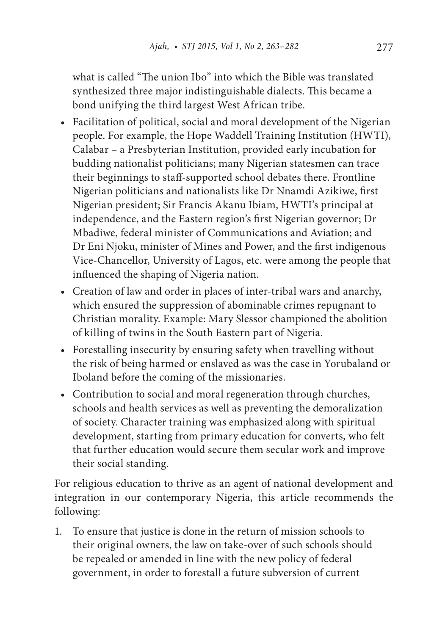what is called "The union Ibo" into which the Bible was translated synthesized three major indistinguishable dialects. This became a bond unifying the third largest West African tribe.

- Facilitation of political, social and moral development of the Nigerian people. For example, the Hope Waddell Training Institution (HWTI), Calabar – a Presbyterian Institution, provided early incubation for budding nationalist politicians; many Nigerian statesmen can trace their beginnings to staff-supported school debates there. Frontline Nigerian politicians and nationalists like Dr Nnamdi Azikiwe, first Nigerian president; Sir Francis Akanu Ibiam, HWTI's principal at independence, and the Eastern region's first Nigerian governor; Dr Mbadiwe, federal minister of Communications and Aviation; and Dr Eni Njoku, minister of Mines and Power, and the first indigenous Vice-Chancellor, University of Lagos, etc. were among the people that influenced the shaping of Nigeria nation.
- Creation of law and order in places of inter-tribal wars and anarchy, which ensured the suppression of abominable crimes repugnant to Christian morality. Example: Mary Slessor championed the abolition of killing of twins in the South Eastern part of Nigeria.
- Forestalling insecurity by ensuring safety when travelling without the risk of being harmed or enslaved as was the case in Yorubaland or Iboland before the coming of the missionaries.
- Contribution to social and moral regeneration through churches, schools and health services as well as preventing the demoralization of society. Character training was emphasized along with spiritual development, starting from primary education for converts, who felt that further education would secure them secular work and improve their social standing.

For religious education to thrive as an agent of national development and integration in our contemporary Nigeria, this article recommends the following:

1. To ensure that justice is done in the return of mission schools to their original owners, the law on take-over of such schools should be repealed or amended in line with the new policy of federal government, in order to forestall a future subversion of current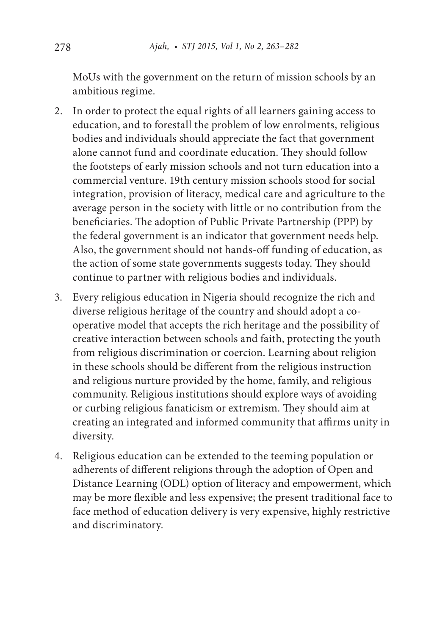MoUs with the government on the return of mission schools by an ambitious regime.

- 2. In order to protect the equal rights of all learners gaining access to education, and to forestall the problem of low enrolments, religious bodies and individuals should appreciate the fact that government alone cannot fund and coordinate education. They should follow the footsteps of early mission schools and not turn education into a commercial venture. 19th century mission schools stood for social integration, provision of literacy, medical care and agriculture to the average person in the society with little or no contribution from the beneficiaries. The adoption of Public Private Partnership (PPP) by the federal government is an indicator that government needs help. Also, the government should not hands-off funding of education, as the action of some state governments suggests today. They should continue to partner with religious bodies and individuals.
- 3. Every religious education in Nigeria should recognize the rich and diverse religious heritage of the country and should adopt a cooperative model that accepts the rich heritage and the possibility of creative interaction between schools and faith, protecting the youth from religious discrimination or coercion. Learning about religion in these schools should be different from the religious instruction and religious nurture provided by the home, family, and religious community. Religious institutions should explore ways of avoiding or curbing religious fanaticism or extremism. They should aim at creating an integrated and informed community that affirms unity in diversity.
- 4. Religious education can be extended to the teeming population or adherents of different religions through the adoption of Open and Distance Learning (ODL) option of literacy and empowerment, which may be more flexible and less expensive; the present traditional face to face method of education delivery is very expensive, highly restrictive and discriminatory.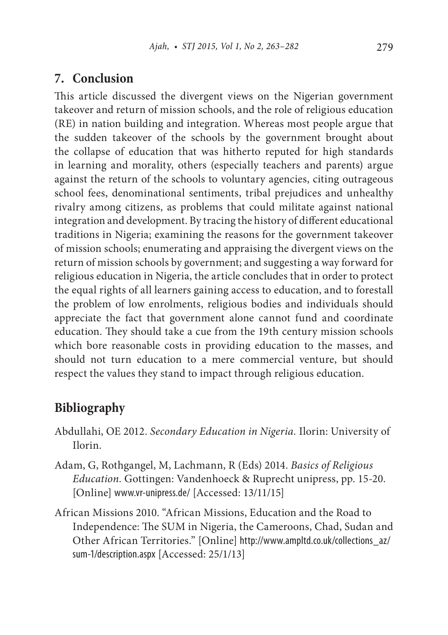#### **7. Conclusion**

This article discussed the divergent views on the Nigerian government takeover and return of mission schools, and the role of religious education (RE) in nation building and integration. Whereas most people argue that the sudden takeover of the schools by the government brought about the collapse of education that was hitherto reputed for high standards in learning and morality, others (especially teachers and parents) argue against the return of the schools to voluntary agencies, citing outrageous school fees, denominational sentiments, tribal prejudices and unhealthy rivalry among citizens, as problems that could militate against national integration and development. By tracing the history of different educational traditions in Nigeria; examining the reasons for the government takeover of mission schools; enumerating and appraising the divergent views on the return of mission schools by government; and suggesting a way forward for religious education in Nigeria, the article concludes that in order to protect the equal rights of all learners gaining access to education, and to forestall the problem of low enrolments, religious bodies and individuals should appreciate the fact that government alone cannot fund and coordinate education. They should take a cue from the 19th century mission schools which bore reasonable costs in providing education to the masses, and should not turn education to a mere commercial venture, but should respect the values they stand to impact through religious education.

# **Bibliography**

- Abdullahi, OE 2012. *Secondary Education in Nigeria.* Ilorin: University of Ilorin.
- Adam, G, Rothgangel, M, Lachmann, R (Eds) 2014. *Basics of Religious Education.* Gottingen: Vandenhoeck & Ruprecht unipress, pp. 15-20. [Online] www.vr-unipress.de/ [Accessed: 13/11/15]
- African Missions 2010. "African Missions, Education and the Road to Independence: The SUM in Nigeria, the Cameroons, Chad, Sudan and Other African Territories." [Online] http://www.ampltd.co.uk/collections\_az/ sum-1/description.aspx [Accessed: 25/1/13]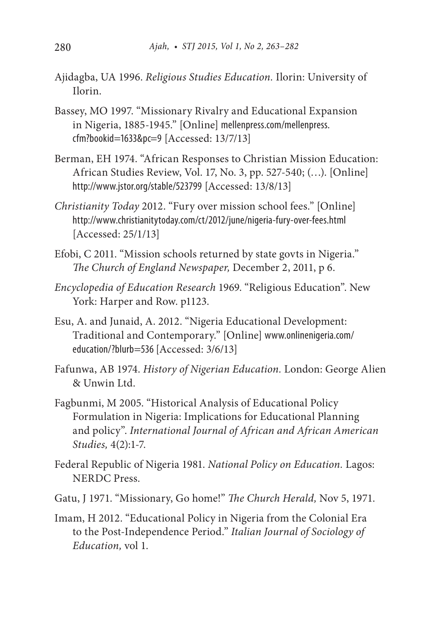- Ajidagba, UA 1996. *Religious Studies Education.* Ilorin: University of Ilorin.
- Bassey, MO 1997. "Missionary Rivalry and Educational Expansion in Nigeria, 1885-1945." [Online] mellenpress.com/mellenpress. cfm?bookid=1633&pc=9 [Accessed: 13/7/13]
- Berman, EH 1974. "African Responses to Christian Mission Education: African Studies Review, Vol. 17, No. 3, pp. 527-540; (…). [Online] http://www.jstor.org/stable/523799 [Accessed: 13/8/13]
- *Christianity Today* 2012. "Fury over mission school fees." [Online] http://www.christianitytoday.com/ct/2012/june/nigeria-fury-over-fees.html [Accessed: 25/1/13]
- Efobi, C 2011. "Mission schools returned by state govts in Nigeria." *The Church of England Newspaper,* December 2, 2011, p 6.
- *Encyclopedia of Education Research* 1969. "Religious Education". New York: Harper and Row. p1123.
- Esu, A. and Junaid, A. 2012. "Nigeria Educational Development: Traditional and Contemporary." [Online] www.onlinenigeria.com/ education/?blurb=536 [Accessed: 3/6/13]
- Fafunwa, AB 1974. *History of Nigerian Education.* London: George Alien & Unwin Ltd.
- Fagbunmi, M 2005. "Historical Analysis of Educational Policy Formulation in Nigeria: Implications for Educational Planning and policy". *International Journal of African and African American Studies,* 4(2):1-7.
- Federal Republic of Nigeria 1981. *National Policy on Education.* Lagos: NERDC Press.
- Gatu, J 1971. "Missionary, Go home!" *The Church Herald,* Nov 5, 1971.
- Imam, H 2012. "Educational Policy in Nigeria from the Colonial Era to the Post-Independence Period." *Italian Journal of Sociology of Education,* vol 1.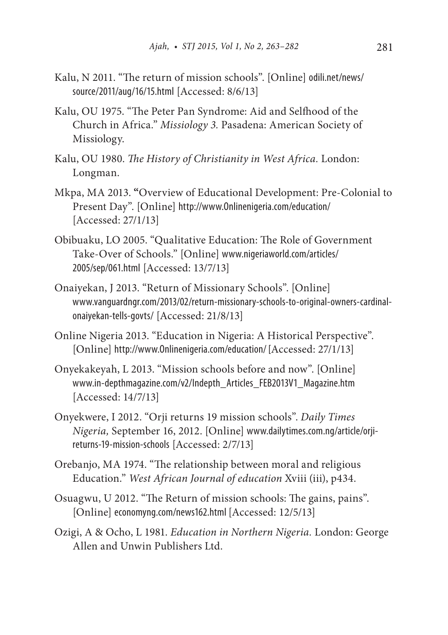- Kalu, N 2011. "The return of mission schools". [Online] odili.net/news/ source/2011/aug/16/15.html [Accessed: 8/6/13]
- Kalu, OU 1975. "The Peter Pan Syndrome: Aid and Selfhood of the Church in Africa." *Missiology 3.* Pasadena: American Society of Missiology.
- Kalu, OU 1980. *The History of Christianity in West Africa.* London: Longman.
- Mkpa, MA 2013. **"**Overview of Educational Development: Pre-Colonial to Present Day". [Online] http://www.Onlinenigeria.com/education/ [Accessed: 27/1/13]
- Obibuaku, LO 2005. "Qualitative Education: The Role of Government Take-Over of Schools." [Online] www.nigeriaworld.com/articles/ 2005/sep/061.html [Accessed: 13/7/13]
- Onaiyekan, J 2013. "Return of Missionary Schools". [Online] www.vanguardngr.com/2013/02/return-missionary-schools-to-original-owners-cardinalonaiyekan-tells-govts/ [Accessed: 21/8/13]
- Online Nigeria 2013. "Education in Nigeria: A Historical Perspective". [Online] http://www.0nlinenigeria.com/education/ [Accessed: 27/1/13]
- Onyekakeyah, L 2013. "Mission schools before and now". [Online] www.in-depthmagazine.com/v2/Indepth\_Articles\_FEB2013V1\_Magazine.htm [Accessed: 14/7/13]
- Onyekwere, I 2012. "Orji returns 19 mission schools". *Daily Times Nigeria,* September 16, 2012. [Online] www.dailytimes.com.ng/article/orjireturns-19-mission-schools [Accessed: 2/7/13]
- Orebanjo, MA 1974. "The relationship between moral and religious Education." *West African Journal of education* Xviii (iii), p434.
- Osuagwu, U 2012. "The Return of mission schools: The gains, pains". [Online] economyng.com/news162.html [Accessed: 12/5/13]
- Ozigi, A & Ocho, L 1981. *Education in Northern Nigeria.* London: George Allen and Unwin Publishers Ltd.